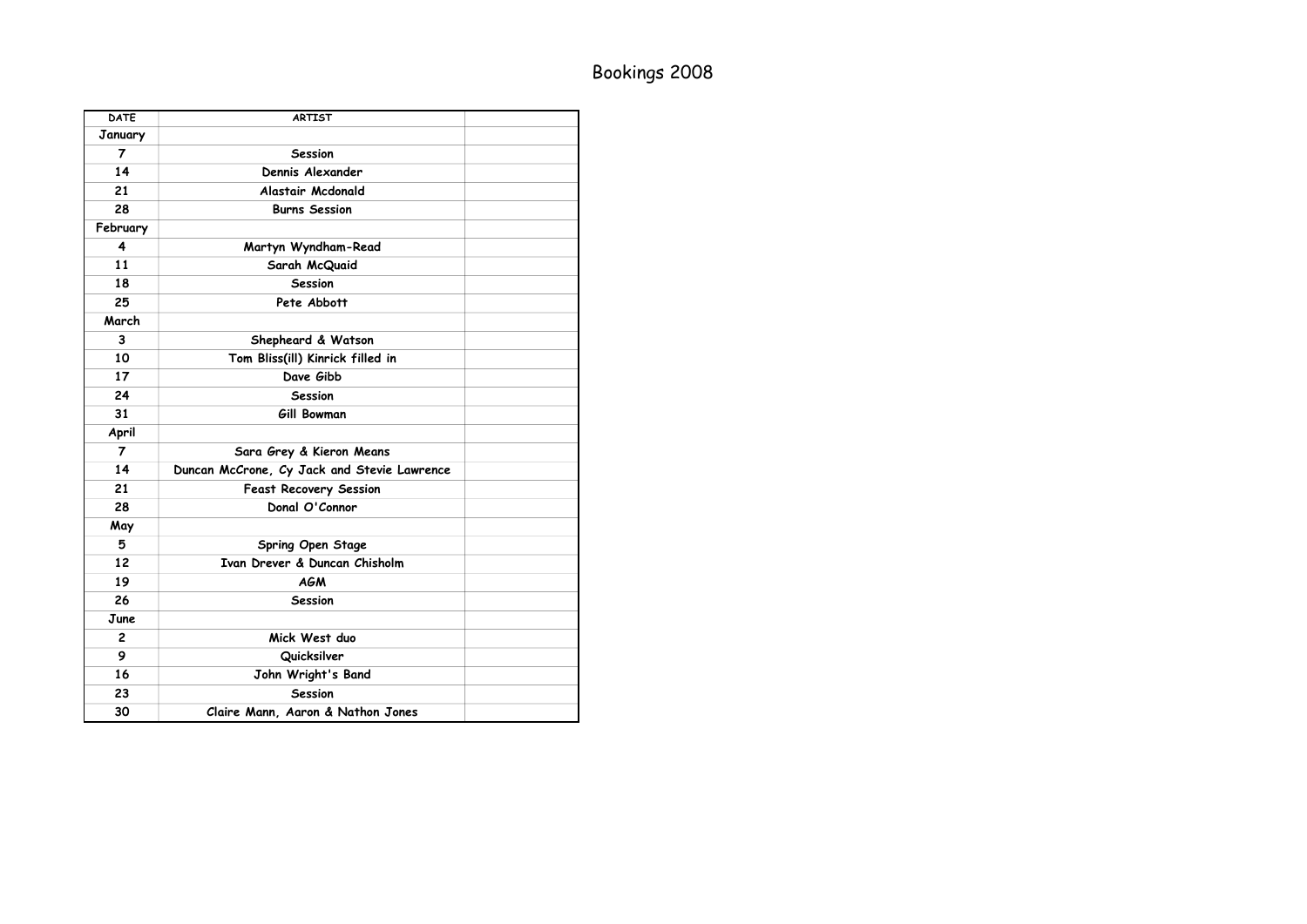## Bookings 2008

| <b>DATE</b>    | <b>ARTIST</b>                               |  |
|----------------|---------------------------------------------|--|
| January        |                                             |  |
| 7              | <b>Session</b>                              |  |
| 14             | Dennis Alexander                            |  |
| 21             | Alastair Mcdonald                           |  |
| 28             | <b>Burns Session</b>                        |  |
| February       |                                             |  |
| 4              | Martyn Wyndham-Read                         |  |
| 11             | Sarah McQuaid                               |  |
| 18             | <b>Session</b>                              |  |
| 25             | Pete Abbott                                 |  |
| March          |                                             |  |
| 3              | Shepheard & Watson                          |  |
| 10             | Tom Bliss(ill) Kinrick filled in            |  |
| 17             | Dave Gibb                                   |  |
| 24             | <b>Session</b>                              |  |
| 31             | Gill Bowman                                 |  |
| April          |                                             |  |
| $\overline{7}$ | Sara Grey & Kieron Means                    |  |
| 14             | Duncan McCrone, Cy Jack and Stevie Lawrence |  |
| 21             | <b>Feast Recovery Session</b>               |  |
| 28             | Donal O'Connor                              |  |
| May            |                                             |  |
| 5              | Spring Open Stage                           |  |
| 12             | Ivan Drever & Duncan Chisholm               |  |
| 19             | <b>AGM</b>                                  |  |
| 26             | <b>Session</b>                              |  |
| June           |                                             |  |
| $\overline{c}$ | Mick West duo                               |  |
| 9              | Quicksilver                                 |  |
| 16             | John Wright's Band                          |  |
| 23             | <b>Session</b>                              |  |
| 30             | Claire Mann, Aaron & Nathon Jones           |  |